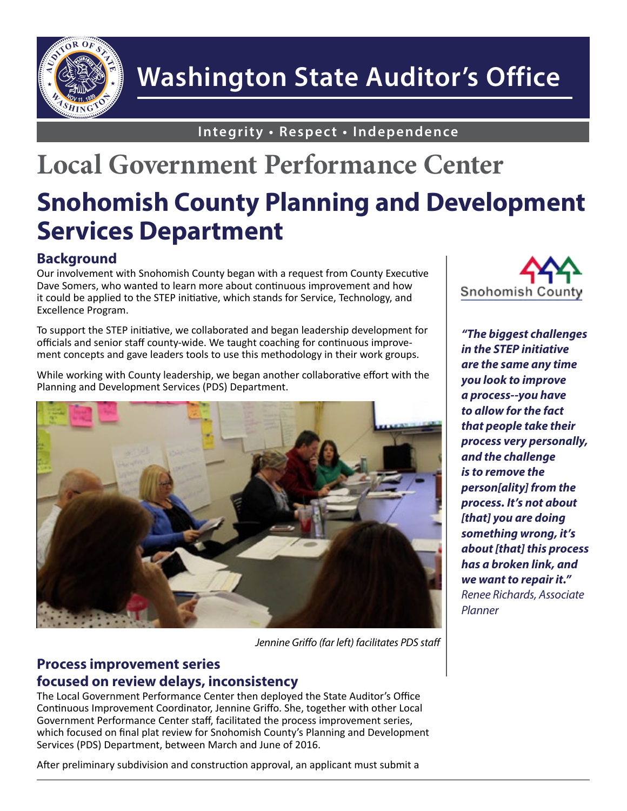

# **Washington State Auditor's Office**

**Integrity • Respect • Independence**

## **Local Government Performance Center Snohomish County Planning and Development Services Department**

### **Background**

Our involvement with Snohomish County began with a request from County Executive Dave Somers, who wanted to learn more about continuous improvement and how it could be applied to the STEP initiative, which stands for Service, Technology, and Excellence Program.

To support the STEP initiative, we collaborated and began leadership development for officials and senior staff county-wide. We taught coaching for continuous improvement concepts and gave leaders tools to use this methodology in their work groups.

While working with County leadership, we began another collaborative effort with the Planning and Development Services (PDS) Department.



*Jennine Griffo (far left) facilitates PDS staff*

#### **Process improvement series focused on review delays, inconsistency**

The Local Government Performance Center then deployed the State Auditor's Office Continuous Improvement Coordinator, Jennine Griffo. She, together with other Local Government Performance Center staff, facilitated the process improvement series, which focused on final plat review for Snohomish County's Planning and Development Services (PDS) Department, between March and June of 2016.

After preliminary subdivision and construction approval, an applicant must submit a



*"The biggest challenges in the STEP initiative are the same any time you look to improve a process--you have to allow for the fact that people take their process very personally, and the challenge is to remove the person[ality] from the process. It's not about [that] you are doing something wrong, it's about [that] this process has a broken link, and we want to repair it." Renee Richards, Associate Planner*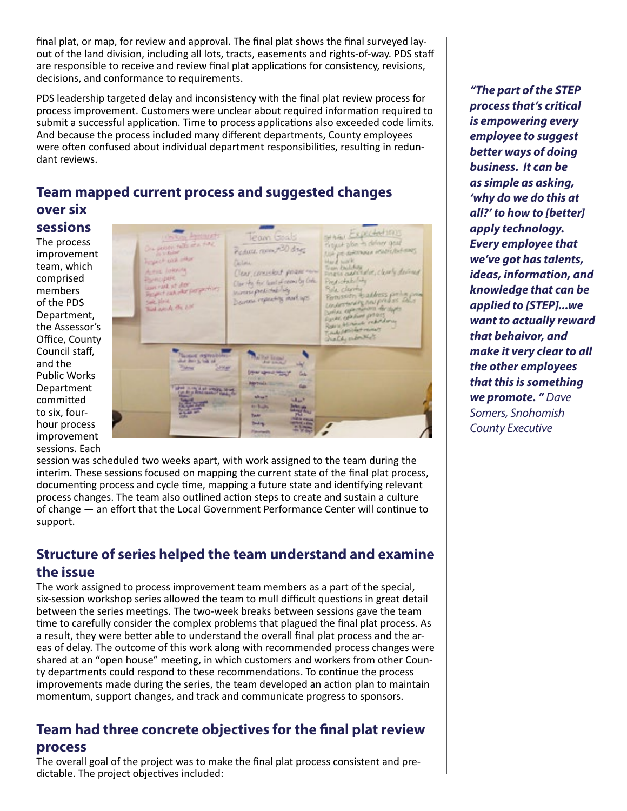final plat, or map, for review and approval. The final plat shows the final surveyed layout of the land division, including all lots, tracts, easements and rights-of-way. PDS staff are responsible to receive and review final plat applications for consistency, revisions, decisions, and conformance to requirements.

PDS leadership targeted delay and inconsistency with the final plat review process for process improvement. Customers were unclear about required information required to submit a successful application. Time to process applications also exceeded code limits. And because the process included many different departments, County employees were often confused about individual department responsibilities, resulting in redundant reviews.

## **Team mapped current process and suggested changes over six**

**sessions**

The process improvement team, which comprised members of the PDS Department, the Assessor's Office, County Council staff, and the Public Works Department committed to six, fourhour process improvement sessions. Each

NAS Expectation **Con Agencie of** Team Goals posses rate of a first Regul plan to defense goal theyad plan to closure gear.<br>Also personalisment incidentalements Reduct room A30 days Trapect sixt when Hard highle<br>Train Distribute of or, classly deviced<br>Finish additional classly deviced Detou Actor Johnson Clear, consistent power-en-**Remogrape** Clar He for lead of ream by Cole. Predictability um rat st dor lasm rate at day<br>Paspet subsidiar parameters Rola claring<br>Romsside to address particular<br>Understanding final predicts<br>Carlos composition of the state<br>Farm composition of the state mores president lag Decrease repeating mark ups Like Block Bird article the Life Foral colocione priori<br>Robini blinanch reductorum<br>Trade formidat revenus<br>Dialdy sudenitivis **Mitglied** a us Sewa **Dear speed House The company of the Second**  $1 - 3 - 3$ 

session was scheduled two weeks apart, with work assigned to the team during the interim. These sessions focused on mapping the current state of the final plat process, documenting process and cycle time, mapping a future state and identifying relevant process changes. The team also outlined action steps to create and sustain a culture of change — an effort that the Local Government Performance Center will continue to support.

#### **Structure of series helped the team understand and examine the issue**

The work assigned to process improvement team members as a part of the special, six-session workshop series allowed the team to mull difficult questions in great detail between the series meetings. The two-week breaks between sessions gave the team time to carefully consider the complex problems that plagued the final plat process. As a result, they were better able to understand the overall final plat process and the areas of delay. The outcome of this work along with recommended process changes were shared at an "open house" meeting, in which customers and workers from other County departments could respond to these recommendations. To continue the process improvements made during the series, the team developed an action plan to maintain momentum, support changes, and track and communicate progress to sponsors.

#### **Team had three concrete objectives for the final plat review process**

The overall goal of the project was to make the final plat process consistent and predictable. The project objectives included:

*"The part of the STEP process that's critical is empowering every employee to suggest better ways of doing business. It can be as simple as asking, 'why do we do this at all?' to how to [better] apply technology. Every employee that we've got has talents, ideas, information, and knowledge that can be applied to [STEP]...we want to actually reward that behaivor, and make it very clear to all the other employees that this is something we promote. " Dave Somers, Snohomish County Executive*